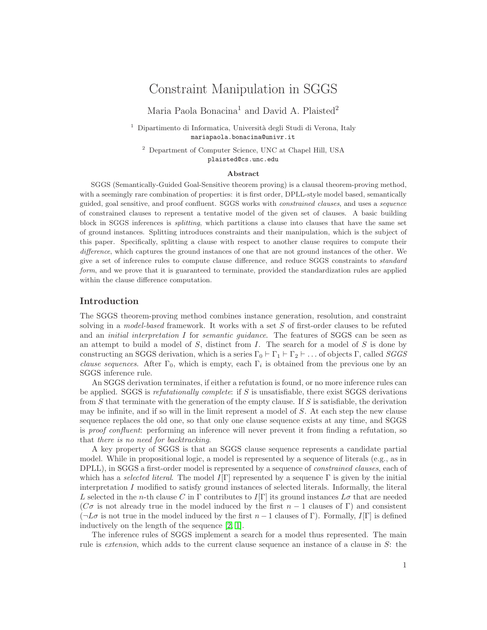# Constraint Manipulation in SGGS

Maria Paola Bonacina<sup>1</sup> and David A. Plaisted<sup>2</sup>

 $1$  Dipartimento di Informatica, Università degli Studi di Verona, Italy mariapaola.bonacina@univr.it

<sup>2</sup> Department of Computer Science, UNC at Chapel Hill, USA plaisted@cs.unc.edu

#### Abstract

SGGS (Semantically-Guided Goal-Sensitive theorem proving) is a clausal theorem-proving method, with a seemingly rare combination of properties: it is first order, DPLL-style model based, semantically guided, goal sensitive, and proof confluent. SGGS works with constrained clauses, and uses a sequence of constrained clauses to represent a tentative model of the given set of clauses. A basic building block in SGGS inferences is splitting, which partitions a clause into clauses that have the same set of ground instances. Splitting introduces constraints and their manipulation, which is the subject of this paper. Specifically, splitting a clause with respect to another clause requires to compute their difference, which captures the ground instances of one that are not ground instances of the other. We give a set of inference rules to compute clause difference, and reduce SGGS constraints to standard form, and we prove that it is guaranteed to terminate, provided the standardization rules are applied within the clause difference computation.

## Introduction

The SGGS theorem-proving method combines instance generation, resolution, and constraint solving in a *model-based* framework. It works with a set S of first-order clauses to be refuted and an initial interpretation I for semantic guidance. The features of SGGS can be seen as an attempt to build a model of  $S$ , distinct from  $I$ . The search for a model of  $S$  is done by constructing an SGGS derivation, which is a series  $\Gamma_0 \vdash \Gamma_1 \vdash \Gamma_2 \vdash \ldots$  of objects  $\Gamma$ , called *SGGS clause sequences*. After  $\Gamma_0$ , which is empty, each  $\Gamma_i$  is obtained from the previous one by an SGGS inference rule.

An SGGS derivation terminates, if either a refutation is found, or no more inference rules can be applied. SGGS is refutationally complete: if S is unsatisfiable, there exist SGGS derivations from  $S$  that terminate with the generation of the empty clause. If  $S$  is satisfiable, the derivation may be infinite, and if so will in the limit represent a model of S. At each step the new clause sequence replaces the old one, so that only one clause sequence exists at any time, and SGGS is proof confluent: performing an inference will never prevent it from finding a refutation, so that there is no need for backtracking.

A key property of SGGS is that an SGGS clause sequence represents a candidate partial model. While in propositional logic, a model is represented by a sequence of literals (e.g., as in DPLL), in SGGS a first-order model is represented by a sequence of *constrained clauses*, each of which has a *selected literal*. The model  $I[\Gamma]$  represented by a sequence  $\Gamma$  is given by the initial interpretation I modified to satisfy ground instances of selected literals. Informally, the literal L selected in the n-th clause C in  $\Gamma$  contributes to  $I[\Gamma]$  its ground instances L $\sigma$  that are needed ( $C\sigma$  is not already true in the model induced by the first  $n-1$  clauses of Γ) and consistent  $(\neg L\sigma$  is not true in the model induced by the first  $n-1$  clauses of Γ). Formally,  $I[\Gamma]$  is defined inductively on the length of the sequence [\[2,](#page-7-0) [1\]](#page-7-1).

The inference rules of SGGS implement a search for a model thus represented. The main rule is extension, which adds to the current clause sequence an instance of a clause in S: the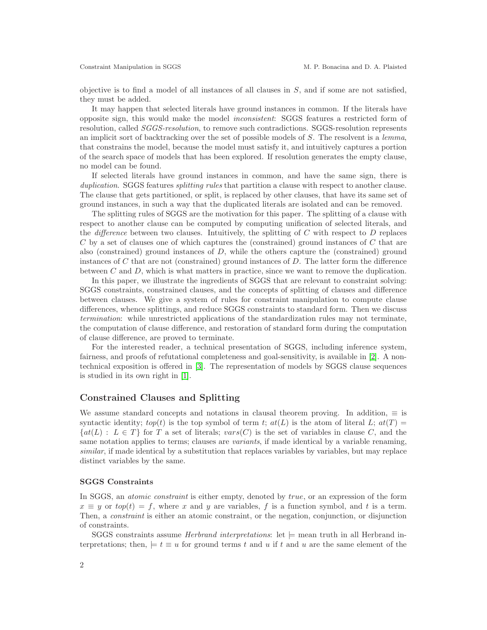objective is to find a model of all instances of all clauses in  $S$ , and if some are not satisfied, they must be added.

It may happen that selected literals have ground instances in common. If the literals have opposite sign, this would make the model inconsistent: SGGS features a restricted form of resolution, called SGGS-resolution, to remove such contradictions. SGGS-resolution represents an implicit sort of backtracking over the set of possible models of S. The resolvent is a lemma, that constrains the model, because the model must satisfy it, and intuitively captures a portion of the search space of models that has been explored. If resolution generates the empty clause, no model can be found.

If selected literals have ground instances in common, and have the same sign, there is duplication. SGGS features *splitting rules* that partition a clause with respect to another clause. The clause that gets partitioned, or split, is replaced by other clauses, that have its same set of ground instances, in such a way that the duplicated literals are isolated and can be removed.

The splitting rules of SGGS are the motivation for this paper. The splitting of a clause with respect to another clause can be computed by computing unification of selected literals, and the *difference* between two clauses. Intuitively, the splitting of  $C$  with respect to  $D$  replaces C by a set of clauses one of which captures the (constrained) ground instances of C that are also (constrained) ground instances of  $D$ , while the others capture the (constrained) ground instances of  $C$  that are not (constrained) ground instances of  $D$ . The latter form the difference between  $C$  and  $D$ , which is what matters in practice, since we want to remove the duplication.

In this paper, we illustrate the ingredients of SGGS that are relevant to constraint solving: SGGS constraints, constrained clauses, and the concepts of splitting of clauses and difference between clauses. We give a system of rules for constraint manipulation to compute clause differences, whence splittings, and reduce SGGS constraints to standard form. Then we discuss termination: while unrestricted applications of the standardization rules may not terminate, the computation of clause difference, and restoration of standard form during the computation of clause difference, are proved to terminate.

For the interested reader, a technical presentation of SGGS, including inference system, fairness, and proofs of refutational completeness and goal-sensitivity, is available in [\[2\]](#page-7-0). A nontechnical exposition is offered in [\[3\]](#page-7-2). The representation of models by SGGS clause sequences is studied in its own right in [\[1\]](#page-7-1).

## Constrained Clauses and Splitting

We assume standard concepts and notations in clausal theorem proving. In addition,  $\equiv$  is syntactic identity;  $top(t)$  is the top symbol of term t;  $at(L)$  is the atom of literal L;  $at(T)$  =  $\{at(L): L \in T\}$  for T a set of literals;  $vars(C)$  is the set of variables in clause C, and the same notation applies to terms; clauses are *variants*, if made identical by a variable renaming, similar, if made identical by a substitution that replaces variables by variables, but may replace distinct variables by the same.

#### SGGS Constraints

In SGGS, an *atomic constraint* is either empty, denoted by *true*, or an expression of the form  $x \equiv y$  or  $top(t) = f$ , where x and y are variables, f is a function symbol, and t is a term. Then, a constraint is either an atomic constraint, or the negation, conjunction, or disjunction of constraints.

SGGS constraints assume *Herbrand interpretations*: let  $\models$  mean truth in all Herbrand interpretations; then,  $\models t \equiv u$  for ground terms t and u if t and u are the same element of the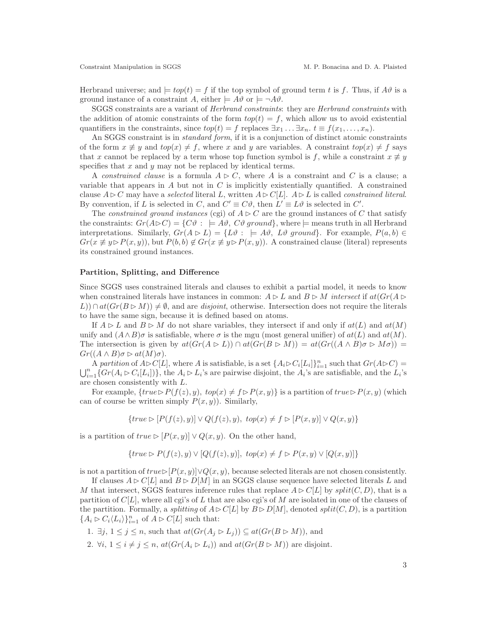Herbrand universe; and  $\models top(t) = f$  if the top symbol of ground term t is f. Thus, if  $A\vartheta$  is a ground instance of a constraint A, either  $\models A\vartheta$  or  $\models \neg A\vartheta$ .

SGGS constraints are a variant of Herbrand constraints: they are Herbrand constraints with the addition of atomic constraints of the form  $top(t) = f$ , which allow us to avoid existential quantifiers in the constraints, since  $top(t) = f$  replaces  $\exists x_1 \dots \exists x_n$ .  $t \equiv f(x_1, \dots, x_n)$ .

An SGGS constraint is in *standard form*, if it is a conjunction of distinct atomic constraints of the form  $x \neq y$  and  $top(x) \neq f$ , where x and y are variables. A constraint  $top(x) \neq f$  says that x cannot be replaced by a term whose top function symbol is f, while a constraint  $x \neq y$ specifies that  $x$  and  $y$  may not be replaced by identical terms.

A constrained clause is a formula  $A \triangleright C$ , where A is a constraint and C is a clause; a variable that appears in  $A$  but not in  $C$  is implicitly existentially quantified. A constrained clause  $A \triangleright C$  may have a selected literal L, written  $A \triangleright C[L]$ .  $A \triangleright L$  is called constrained literal. By convention, if L is selected in C, and  $C' \equiv C\vartheta$ , then  $L' \equiv L\vartheta$  is selected in C'.

The constrained ground instances (cgi) of  $A \triangleright C$  are the ground instances of C that satisfy the constraints:  $Gr(A \triangleright C) = \{C\vartheta : \models A\vartheta, C\vartheta \text{ ground}\},\$ where  $\models$  means truth in all Herbrand interpretations. Similarly,  $Gr(A \triangleright L) = \{L\vartheta : \models A\vartheta, L\vartheta \text{ ground}\}.$  For example,  $P(a, b) \in$  $Gr(x \not\equiv y \triangleright P(x, y))$ , but  $P(b, b) \not\in Gr(x \not\equiv y \triangleright P(x, y))$ . A constrained clause (literal) represents its constrained ground instances.

#### Partition, Splitting, and Difference

Since SGGS uses constrained literals and clauses to exhibit a partial model, it needs to know when constrained literals have instances in common:  $A \triangleright L$  and  $B \triangleright M$  intersect if  $at(Gr(A \triangleright$  $L$ ))  $\cap$  at $(Gr(B \triangleright M)) \neq \emptyset$ , and are *disjoint*, otherwise. Intersection does not require the literals to have the same sign, because it is defined based on atoms.

If  $A \triangleright L$  and  $B \triangleright M$  do not share variables, they intersect if and only if  $at(L)$  and  $at(M)$ unify and  $(A \wedge B)\sigma$  is satisfiable, where  $\sigma$  is the mgu (most general unifier) of  $at(L)$  and  $at(M)$ . The intersection is given by  $at(Gr(A \triangleright L)) \cap at(Gr(B \triangleright M)) = at(Gr((A \wedge B)\sigma \triangleright M\sigma)) =$  $Gr((A \wedge B)\sigma \rhd at(M)\sigma).$ 

A partition of  $A \triangleright C[L]$ , where A is satisfiable, is a set  $\{A_i \triangleright C_i[L_i]\}_{i=1}^n$  such that  $Gr(A \triangleright C)$  =  $\bigcup_{i=1}^n \{Gr(A_i \triangleright C_i[L_i])\},\$  the  $A_i \triangleright L_i$ 's are pairwise disjoint, the  $A_i$ 's are satisfiable, and the  $L_i$ 's are chosen consistently with L.

For example,  $\{true \triangleright P(f(z), y), top(x) \neq f \triangleright P(x, y)\}$  is a partition of  $true \triangleright P(x, y)$  (which can of course be written simply  $P(x, y)$ . Similarly,

$$
\{true \triangleright [P(f(z), y)] \vee Q(f(z), y), \ top(x) \neq f \triangleright [P(x, y)] \vee Q(x, y)\}\
$$

is a partition of  $true \triangleright [P(x, y)] \vee Q(x, y)$ . On the other hand,

$$
\{true \triangleright P(f(z), y) \vee [Q(f(z), y)],\ top(x) \neq f \triangleright P(x, y) \vee [Q(x, y)]\}
$$

is not a partition of  $true \triangleright [P(x, y)] \vee Q(x, y)$ , because selected literals are not chosen consistently.

If clauses  $A \triangleright C[L]$  and  $B \triangleright D[M]$  in an SGGS clause sequence have selected literals L and M that intersect, SGGS features inference rules that replace  $A \triangleright C[L]$  by  $split(C, D)$ , that is a partition of  $C[L]$ , where all cgi's of L that are also cgi's of M are isolated in one of the clauses of the partition. Formally, a splitting of  $A \triangleright C[L]$  by  $B \triangleright D[M]$ , denoted split $(C, D)$ , is a partition  ${A_i \triangleright C_i \langle L_i \rangle}_{i=1}^n$  of  $A \triangleright C[L]$  such that:

1.  $\exists j, 1 \leq j \leq n$ , such that  $at(Gr(A_j \triangleright L_j)) \subseteq at(Gr(B \triangleright M))$ , and

2.  $\forall i, 1 \leq i \neq j \leq n$ ,  $at(Gr(A_i \triangleright L_i))$  and  $at(Gr(B \triangleright M))$  are disjoint.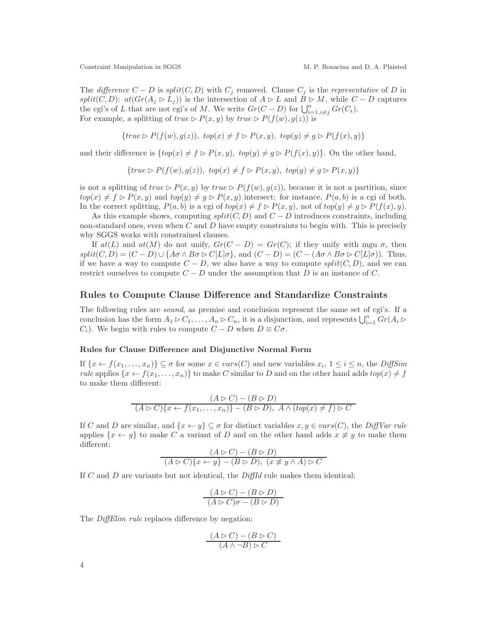The difference  $C - D$  is split $(C, D)$  with  $C_j$  removed. Clause  $C_j$  is the representative of D in split(C, D):  $at(Gr(A_j \triangleright L_j))$  is the intersection of  $A \triangleright L$  and  $B \triangleright M$ , while  $C - D$  captures the cgi's of L that are not cgi's of M. We write  $Gr(C-D)$  for  $\bigcup_{i=1,i\neq j}^{n} Gr(C_i)$ . For example, a splitting of  $true \triangleright P(x, y)$  by  $true \triangleright P(f(w), g(z))$  is

$$
\{true \rhd P(f(w), g(z)),\ top(x) \neq f \rhd P(x, y),\ top(y) \neq g \rhd P(f(x), y)\}
$$

and their difference is  $\{top(x) \neq f \triangleright P(x, y), \ top(y) \neq g \triangleright P(f(x), y)\}.$  On the other hand,

$$
\{true \triangleright P(f(w), g(z)), top(x) \neq f \triangleright P(x, y), top(y) \neq g \triangleright P(x, y)\}\
$$

is not a splitting of  $true \triangleright P(x, y)$  by  $true \triangleright P(f(w), g(z))$ , because it is not a partition, since  $top(x) \neq f \triangleright P(x, y)$  and  $top(y) \neq g \triangleright P(x, y)$  intersect: for instance,  $P(a, b)$  is a cgi of both. In the correct splitting,  $P(a, b)$  is a cgi of  $top(x) \neq f \triangleright P(x, y)$ , not of  $top(y) \neq g \triangleright P(f(x), y)$ .

As this example shows, computing  $split(C, D)$  and  $C - D$  introduces constraints, including non-standard ones, even when  $C$  and  $D$  have empty constraints to begin with. This is precisely why SGGS works with constrained clauses.

If  $at(L)$  and  $at(M)$  do not unify,  $Gr(C-D) = Gr(C)$ ; if they unify with mgu  $\sigma$ , then  $split(C, D) = (C - D) \cup \{A\sigma \wedge B\sigma \triangleright C[L|\sigma\}, \text{ and } (C - D) = (C - (A\sigma \wedge B\sigma \triangleright C[L|\sigma)). \text{ Thus,}$ if we have a way to compute  $C - D$ , we also have a way to compute  $split(C, D)$ , and we can restrict ourselves to compute  $C - D$  under the assumption that D is an instance of C.

#### Rules to Compute Clause Difference and Standardize Constraints

The following rules are sound, as premise and conclusion represent the same set of cgi's. If a conclusion has the form  $A_1 \triangleright C_1, \ldots, A_n \triangleright C_n$ , it is a disjunction, and represents  $\bigcup_{i=1}^n Gr(A_i \triangleright$  $C_i$ ). We begin with rules to compute  $C - D$  when  $D \equiv C\sigma$ .

#### Rules for Clause Difference and Disjunctive Normal Form

If  $\{x \leftarrow f(x_1, \ldots, x_n)\} \subseteq \sigma$  for some  $x \in vars(C)$  and new variables  $x_i, 1 \leq i \leq n$ , the DiffSim *rule* applies  $\{x \leftarrow f(x_1, \ldots, x_n)\}\)$  to make C similar to D and on the other hand adds  $top(x) \neq f$ to make them different:

$$
(A \triangleright C) - (B \triangleright D)
$$
  

$$
(A \triangleright C)\{x \leftarrow f(x_1, ..., x_n)\} - (B \triangleright D), A \wedge (top(x) \neq f) \triangleright C
$$

If C and D are similar, and  $\{x \leftarrow y\} \subseteq \sigma$  for distinct variables  $x, y \in vars(C)$ , the DiffVar rule applies  $\{x \leftarrow y\}$  to make C a variant of D and on the other hand adds  $x \not\equiv y$  to make them different:

$$
(A \rhd C) - (B \rhd D)
$$
  

$$
(A \rhd C)\{x \leftarrow y\} - (B \rhd D), \ (x \not\equiv y \land A) \rhd C
$$

If  $C$  and  $D$  are variants but not identical, the  $DiffId$  rule makes them identical:

$$
\frac{(A \rhd C) - (B \rhd D)}{(A \rhd C)\sigma - (B \rhd D)}
$$

The *DiffElim rule* replaces difference by negation:

$$
\frac{(A \rhd C) - (B \rhd C)}{(A \wedge \neg B) \rhd C}
$$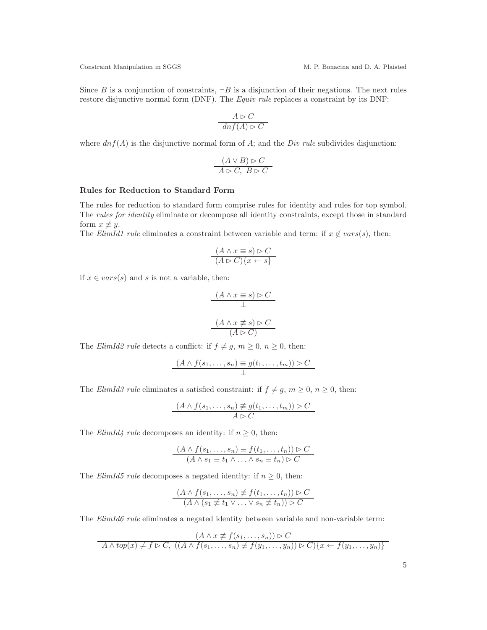Since B is a conjunction of constraints,  $\neg B$  is a disjunction of their negations. The next rules restore disjunctive normal form (DNF). The *Equiv rule* replaces a constraint by its DNF:

$$
\frac{A \rhd C}{dn f(A) \rhd C}
$$

where  $dnf(A)$  is the disjunctive normal form of A; and the *Div rule* subdivides disjunction:

$$
\frac{(A \vee B) \triangleright C}{A \triangleright C, B \triangleright C}
$$

#### Rules for Reduction to Standard Form

The rules for reduction to standard form comprise rules for identity and rules for top symbol. The rules for identity eliminate or decompose all identity constraints, except those in standard form  $x \not\equiv y$ .

The ElimId1 rule eliminates a constraint between variable and term: if  $x \notin vars(s)$ , then:

$$
(A \land x \equiv s) \rhd C
$$
  

$$
(A \rhd C)\{x \leftarrow s\}
$$

if  $x \in vars(s)$  and s is not a variable, then:

$$
\frac{(A \land x \equiv s) \rhd C}{\bot}
$$
\n
$$
(A \land x \not\equiv s) \rhd C
$$
\n
$$
(A \rhd C)
$$

The *ElimId2 rule* detects a conflict: if  $f \neq g, m \geq 0, n \geq 0$ , then:

$$
\frac{(A \wedge f(s_1, \ldots, s_n) \equiv g(t_1, \ldots, t_m)) \triangleright C}{\perp}
$$

The ElimId3 rule eliminates a satisfied constraint: if  $f \neq g, m \geq 0, n \geq 0$ , then:

$$
\frac{(A \wedge f(s_1, \ldots, s_n) \neq g(t_1, \ldots, t_m)) \triangleright C}{A \triangleright C}
$$

The *ElimId4 rule* decomposes an identity: if  $n \geq 0$ , then:

$$
\frac{(A \wedge f(s_1, \ldots, s_n) \equiv f(t_1, \ldots, t_n)) \triangleright C}{(A \wedge s_1 \equiv t_1 \wedge \ldots \wedge s_n \equiv t_n) \triangleright C}
$$

The *ElimId5 rule* decomposes a negated identity: if  $n \geq 0$ , then:

$$
(A \wedge f(s_1, \ldots, s_n) \not\equiv f(t_1, \ldots, t_n)) \triangleright C
$$
  

$$
(A \wedge (s_1 \not\equiv t_1 \vee \ldots \vee s_n \not\equiv t_n)) \triangleright C
$$

The ElimId6 rule eliminates a negated identity between variable and non-variable term:

$$
(A \land x \neq f(s_1, \ldots, s_n)) \rhd C
$$
  

$$
A \land top(x) \neq f \rhd C, ((A \land f(s_1, \ldots, s_n) \neq f(y_1, \ldots, y_n)) \rhd C)\{x \leftarrow f(y_1, \ldots, y_n)\}
$$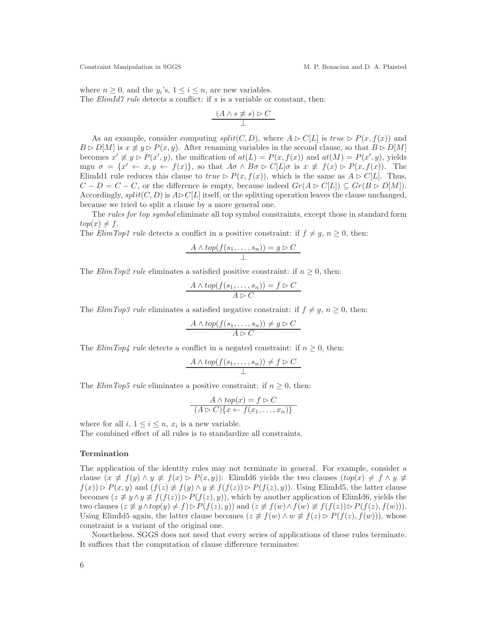where  $n \geq 0$ , and the  $y_i$ 's,  $1 \leq i \leq n$ , are new variables. The  $ElimId7$  rule detects a conflict: if s is a variable or constant, then:

$$
(A \land s \not\equiv s) \triangleright C
$$
  

$$
\bot
$$

As an example, consider computing  $split(C, D)$ , where  $A \triangleright C[L]$  is true  $\triangleright P(x, f(x))$  and  $B \triangleright D[M]$  is  $x \not\equiv y \triangleright P(x, y)$ . After renaming variables in the second clause, so that  $B \triangleright D[M]$ becomes  $x' \neq y \triangleright P(x', y)$ , the unification of  $at(L) = P(x, f(x))$  and  $at(M) = P(x', y)$ , yields mgu  $\sigma = \{x' \leftarrow x, y \leftarrow f(x)\}\$ , so that  $A\sigma \wedge B\sigma \triangleright C[L]\sigma$  is  $x \not\equiv f(x) \triangleright P(x, f(x))$ . The ElimId1 rule reduces this clause to  $true \triangleright P(x, f(x))$ , which is the same as  $A \triangleright C[L]$ . Thus,  $C - D = C - C$ , or the difference is empty, because indeed  $Gr(A \triangleright C[L]) \subseteq Gr(B \triangleright D[M])$ . Accordingly,  $split(C, D)$  is  $A \triangleright C[L]$  itself, or the splitting operation leaves the clause unchanged, because we tried to split a clause by a more general one.

The rules for top symbol eliminate all top symbol constraints, except those in standard form  $top(x) \neq f.$ 

The ElimTop1 rule detects a conflict in a positive constraint: if  $f \neq g, n \geq 0$ , then:

$$
A \wedge top(f(s_1, \ldots, s_n)) = g \triangleright C
$$

The *ElimTop2 rule* eliminates a satisfied positive constraint: if  $n \geq 0$ , then:

$$
\frac{A \wedge top(f(s_1, \ldots, s_n)) = f \triangleright C}{A \triangleright C}
$$

The *ElimTop3 rule* eliminates a satisfied negative constraint: if  $f \neq g, n \geq 0$ , then:

$$
\frac{A \wedge top(f(s_1, \dots, s_n)) \neq g \triangleright C}{A \triangleright C}
$$

The *ElimTop4* rule detects a conflict in a negated constraint: if  $n \geq 0$ , then:

$$
A \wedge top(f(s_1, \ldots, s_n)) \neq f \triangleright C
$$

The *ElimTop5 rule* eliminates a positive constraint: if  $n \geq 0$ , then:

$$
A \wedge top(x) = f \triangleright C
$$
  

$$
(A \triangleright C)\{x \leftarrow f(x_1, \dots, x_n)\}
$$

where for all  $i, 1 \leq i \leq n$ ,  $x_i$  is a new variable.

The combined effect of all rules is to standardize all constraints.

#### Termination

The application of the identity rules may not terminate in general. For example, consider a clause  $(x \neq f(y) \land y \neq f(x) \rhd P(x, y))$ : ElimId6 yields the two clauses  $(top(x) \neq f \land y \neq f(x))$  $f(x) \triangleright P(x, y)$  and  $(f(z) \neq f(y) \land y \neq f(f(z)) \triangleright P(f(z), y)$ . Using ElimId5, the latter clause becomes  $(z \neq y \land y \neq f(f(z)) \rhd P(f(z), y))$ , which by another application of ElimId6, yields the two clauses  $(z \neq y \wedge top(y) \neq f) \triangleright P(f(z), y)$  and  $(z \neq f(w) \wedge f(w) \neq f(f(z)) \triangleright P(f(z), f(w))$ . Using ElimId5 again, the latter clause becomes  $(z \neq f(w) \land w \neq f(z) \triangleright P(f(z), f(w)))$ , whose constraint is a variant of the original one.

Nonetheless, SGGS does not need that every series of applications of these rules terminate. It suffices that the computation of clause difference terminates: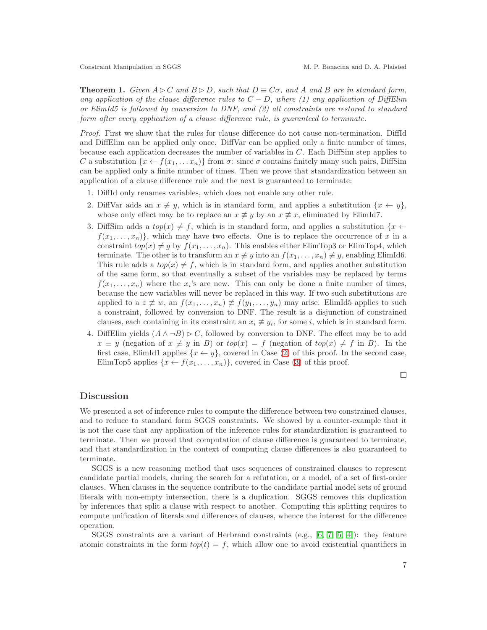**Theorem 1.** Given  $A \triangleright C$  and  $B \triangleright D$ , such that  $D \equiv C\sigma$ , and A and B are in standard form, any application of the clause difference rules to  $C - D$ , where (1) any application of DiffElim or ElimId5 is followed by conversion to DNF, and (2) all constraints are restored to standard form after every application of a clause difference rule, is guaranteed to terminate.

Proof. First we show that the rules for clause difference do not cause non-termination. DiffId and DiffElim can be applied only once. DiffVar can be applied only a finite number of times, because each application decreases the number of variables in  $C$ . Each DiffSim step applies to C a substitution  $\{x \leftarrow f(x_1, \ldots, x_n)\}\$ from  $\sigma$ : since  $\sigma$  contains finitely many such pairs, DiffSim can be applied only a finite number of times. Then we prove that standardization between an application of a clause difference rule and the next is guaranteed to terminate:

- <span id="page-6-0"></span>1. DiffId only renames variables, which does not enable any other rule.
- <span id="page-6-1"></span>2. DiffVar adds an  $x \neq y$ , which is in standard form, and applies a substitution  $\{x \leftarrow y\}$ , whose only effect may be to replace an  $x \neq y$  by an  $x \neq x$ , eliminated by ElimId7.
- 3. DiffSim adds a  $top(x) \neq f$ , which is in standard form, and applies a substitution  $\{x \leftarrow f\}$  $f(x_1, \ldots, x_n)$ , which may have two effects. One is to replace the occurrence of x in a constraint  $top(x) \neq g$  by  $f(x_1, \ldots, x_n)$ . This enables either ElimTop3 or ElimTop4, which terminate. The other is to transform an  $x \not\equiv y$  into an  $f(x_1, \ldots, x_n) \not\equiv y$ , enabling ElimId6. This rule adds a  $top(x) \neq f$ , which is in standard form, and applies another substitution of the same form, so that eventually a subset of the variables may be replaced by terms  $f(x_1, \ldots, x_n)$  where the  $x_i$ 's are new. This can only be done a finite number of times, because the new variables will never be replaced in this way. If two such substitutions are applied to a  $z \neq w$ , an  $f(x_1, \ldots, x_n) \neq f(y_1, \ldots, y_n)$  may arise. ElimId5 applies to such a constraint, followed by conversion to DNF. The result is a disjunction of constrained clauses, each containing in its constraint an  $x_i \neq y_i$ , for some i, which is in standard form.
- 4. DiffElim yields  $(A \wedge \neg B) \triangleright C$ , followed by conversion to DNF. The effect may be to add  $x \equiv y$  (negation of  $x \not\equiv y$  in B) or  $top(x) = f$  (negation of  $top(x) \neq f$  in B). In the first case, ElimId1 applies  $\{x \leftarrow y\}$ , covered in Case [\(2\)](#page-6-0) of this proof. In the second case, ElimTop5 applies  $\{x \leftarrow f(x_1, \ldots, x_n)\}$ , covered in Case [\(3\)](#page-6-1) of this proof.

□

## Discussion

We presented a set of inference rules to compute the difference between two constrained clauses, and to reduce to standard form SGGS constraints. We showed by a counter-example that it is not the case that any application of the inference rules for standardization is guaranteed to terminate. Then we proved that computation of clause difference is guaranteed to terminate, and that standardization in the context of computing clause differences is also guaranteed to terminate.

SGGS is a new reasoning method that uses sequences of constrained clauses to represent candidate partial models, during the search for a refutation, or a model, of a set of first-order clauses. When clauses in the sequence contribute to the candidate partial model sets of ground literals with non-empty intersection, there is a duplication. SGGS removes this duplication by inferences that split a clause with respect to another. Computing this splitting requires to compute unification of literals and differences of clauses, whence the interest for the difference operation.

SGGS constraints are a variant of Herbrand constraints (e.g.,  $[6, 7, 5, 4]$  $[6, 7, 5, 4]$  $[6, 7, 5, 4]$  $[6, 7, 5, 4]$ ): they feature atomic constraints in the form  $top(t) = f$ , which allow one to avoid existential quantifiers in